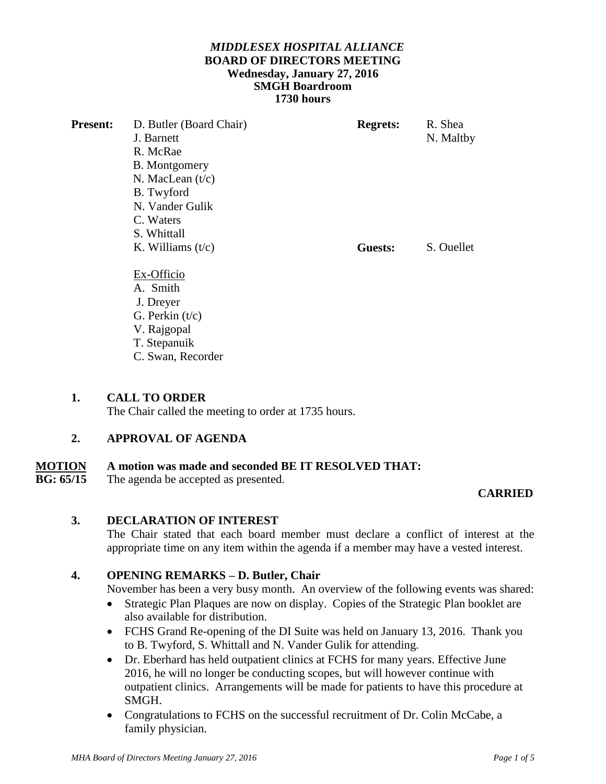## *MIDDLESEX HOSPITAL ALLIANCE*  **BOARD OF DIRECTORS MEETING Wednesday, January 27, 2016 SMGH Boardroom 1730 hours**

| <b>Present:</b> | D. Butler (Board Chair) | <b>Regrets:</b> | R. Shea    |
|-----------------|-------------------------|-----------------|------------|
|                 | J. Barnett              |                 | N. Maltby  |
|                 | R. McRae                |                 |            |
|                 | <b>B.</b> Montgomery    |                 |            |
|                 | N. MacLean $(t/c)$      |                 |            |
|                 | B. Twyford              |                 |            |
|                 | N. Vander Gulik         |                 |            |
|                 | C. Waters               |                 |            |
|                 | S. Whittall             |                 |            |
|                 | K. Williams $(t/c)$     | Guests:         | S. Ouellet |
|                 |                         |                 |            |
|                 | Ex-Officio              |                 |            |
|                 | A. Smith                |                 |            |
|                 | J. Dreyer               |                 |            |
|                 | G. Perkin $(t/c)$       |                 |            |
|                 | V. Rajgopal             |                 |            |
|                 | T. Stepanuik            |                 |            |
|                 | C. Swan, Recorder       |                 |            |

## **1. CALL TO ORDER**

The Chair called the meeting to order at 1735 hours.

# **2. APPROVAL OF AGENDA**

# **MOTION** A motion was made and seconded BE IT RESOLVED THAT:<br>RG· 65/15 The agenda be accented as presented.

The agenda be accepted as presented.

# **CARRIED**

# **3. DECLARATION OF INTEREST**

The Chair stated that each board member must declare a conflict of interest at the appropriate time on any item within the agenda if a member may have a vested interest.

# **4. OPENING REMARKS – D. Butler, Chair**

November has been a very busy month. An overview of the following events was shared:

- Strategic Plan Plaques are now on display. Copies of the Strategic Plan booklet are also available for distribution.
- FCHS Grand Re-opening of the DI Suite was held on January 13, 2016. Thank you to B. Twyford, S. Whittall and N. Vander Gulik for attending.
- Dr. Eberhard has held outpatient clinics at FCHS for many years. Effective June 2016, he will no longer be conducting scopes, but will however continue with outpatient clinics. Arrangements will be made for patients to have this procedure at SMGH.
- Congratulations to FCHS on the successful recruitment of Dr. Colin McCabe, a family physician.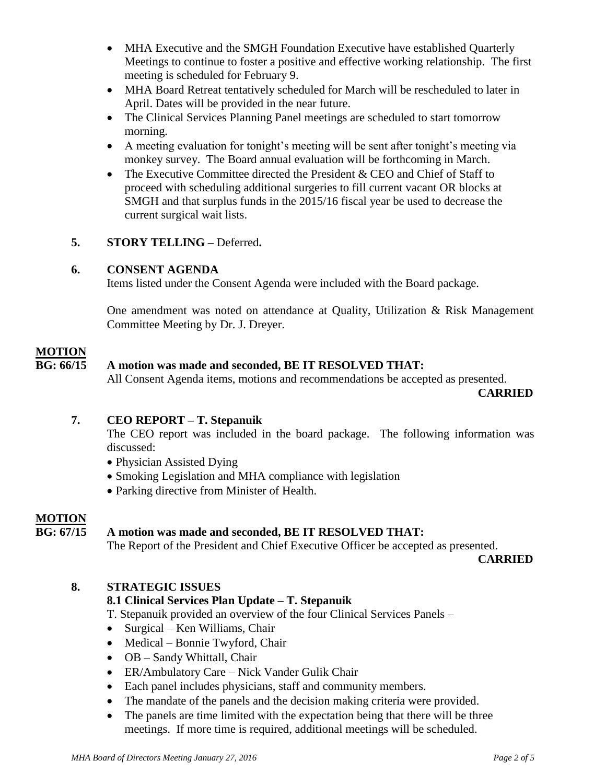- MHA Executive and the SMGH Foundation Executive have established Quarterly Meetings to continue to foster a positive and effective working relationship. The first meeting is scheduled for February 9.
- MHA Board Retreat tentatively scheduled for March will be rescheduled to later in April. Dates will be provided in the near future.
- The Clinical Services Planning Panel meetings are scheduled to start tomorrow morning.
- A meeting evaluation for tonight's meeting will be sent after tonight's meeting via monkey survey. The Board annual evaluation will be forthcoming in March.
- The Executive Committee directed the President & CEO and Chief of Staff to proceed with scheduling additional surgeries to fill current vacant OR blocks at SMGH and that surplus funds in the 2015/16 fiscal year be used to decrease the current surgical wait lists.

# **5. STORY TELLING –** Deferred**.**

#### **6. CONSENT AGENDA**

Items listed under the Consent Agenda were included with the Board package.

One amendment was noted on attendance at Quality, Utilization & Risk Management Committee Meeting by Dr. J. Dreyer.

#### **MOTION**

# **BG: 66/15 A motion was made and seconded, BE IT RESOLVED THAT:**

All Consent Agenda items, motions and recommendations be accepted as presented.

 **CARRIED**

#### **7. CEO REPORT – T. Stepanuik**

The CEO report was included in the board package. The following information was discussed:

- Physician Assisted Dying
- Smoking Legislation and MHA compliance with legislation
- Parking directive from Minister of Health.

#### **MOTION**

#### **BG: 67/15 A motion was made and seconded, BE IT RESOLVED THAT:**

The Report of the President and Chief Executive Officer be accepted as presented.

 **CARRIED**

#### **8. STRATEGIC ISSUES**

## **8.1 Clinical Services Plan Update – T. Stepanuik**

T. Stepanuik provided an overview of the four Clinical Services Panels –

- Surgical Ken Williams, Chair
- Medical Bonnie Twyford, Chair
- OB Sandy Whittall, Chair
- ER/Ambulatory Care Nick Vander Gulik Chair
- Each panel includes physicians, staff and community members.
- The mandate of the panels and the decision making criteria were provided.
- The panels are time limited with the expectation being that there will be three meetings. If more time is required, additional meetings will be scheduled.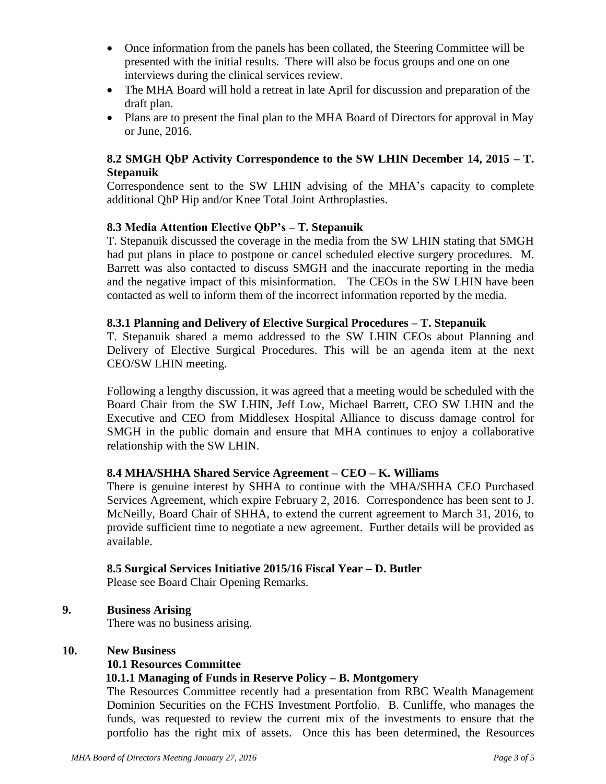- Once information from the panels has been collated, the Steering Committee will be presented with the initial results. There will also be focus groups and one on one interviews during the clinical services review.
- The MHA Board will hold a retreat in late April for discussion and preparation of the draft plan.
- Plans are to present the final plan to the MHA Board of Directors for approval in May or June, 2016.

# **8.2 SMGH QbP Activity Correspondence to the SW LHIN December 14, 2015 – T. Stepanuik**

Correspondence sent to the SW LHIN advising of the MHA's capacity to complete additional QbP Hip and/or Knee Total Joint Arthroplasties.

## **8.3 Media Attention Elective QbP's – T. Stepanuik**

T. Stepanuik discussed the coverage in the media from the SW LHIN stating that SMGH had put plans in place to postpone or cancel scheduled elective surgery procedures. M. Barrett was also contacted to discuss SMGH and the inaccurate reporting in the media and the negative impact of this misinformation. The CEOs in the SW LHIN have been contacted as well to inform them of the incorrect information reported by the media.

#### **8.3.1 Planning and Delivery of Elective Surgical Procedures – T. Stepanuik**

T. Stepanuik shared a memo addressed to the SW LHIN CEOs about Planning and Delivery of Elective Surgical Procedures. This will be an agenda item at the next CEO/SW LHIN meeting.

Following a lengthy discussion, it was agreed that a meeting would be scheduled with the Board Chair from the SW LHIN, Jeff Low, Michael Barrett, CEO SW LHIN and the Executive and CEO from Middlesex Hospital Alliance to discuss damage control for SMGH in the public domain and ensure that MHA continues to enjoy a collaborative relationship with the SW LHIN.

#### **8.4 MHA/SHHA Shared Service Agreement – CEO – K. Williams**

There is genuine interest by SHHA to continue with the MHA/SHHA CEO Purchased Services Agreement, which expire February 2, 2016. Correspondence has been sent to J. McNeilly, Board Chair of SHHA, to extend the current agreement to March 31, 2016, to provide sufficient time to negotiate a new agreement. Further details will be provided as available.

#### **8.5 Surgical Services Initiative 2015/16 Fiscal Year – D. Butler**

Please see Board Chair Opening Remarks.

### **9. Business Arising**

There was no business arising.

#### **10. New Business**

#### **10.1 Resources Committee**

#### **10.1.1 Managing of Funds in Reserve Policy – B. Montgomery**

The Resources Committee recently had a presentation from RBC Wealth Management Dominion Securities on the FCHS Investment Portfolio.B. Cunliffe, who manages the funds, was requested to review the current mix of the investments to ensure that the portfolio has the right mix of assets. Once this has been determined, the Resources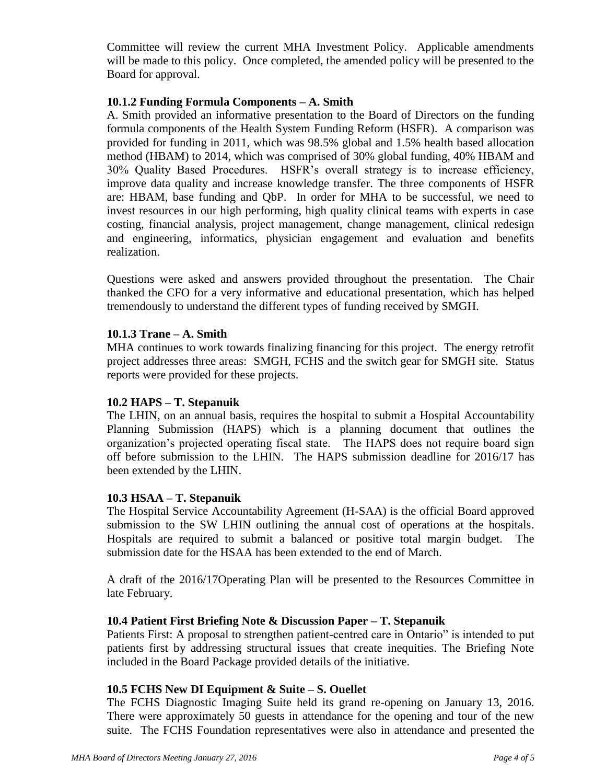Committee will review the current MHA Investment Policy. Applicable amendments will be made to this policy. Once completed, the amended policy will be presented to the Board for approval.

## **10.1.2 Funding Formula Components – A. Smith**

A. Smith provided an informative presentation to the Board of Directors on the funding formula components of the Health System Funding Reform (HSFR). A comparison was provided for funding in 2011, which was 98.5% global and 1.5% health based allocation method (HBAM) to 2014, which was comprised of 30% global funding, 40% HBAM and 30% Quality Based Procedures. HSFR's overall strategy is to increase efficiency, improve data quality and increase knowledge transfer. The three components of HSFR are: HBAM, base funding and QbP. In order for MHA to be successful, we need to invest resources in our high performing, high quality clinical teams with experts in case costing, financial analysis, project management, change management, clinical redesign and engineering, informatics, physician engagement and evaluation and benefits realization.

Questions were asked and answers provided throughout the presentation. The Chair thanked the CFO for a very informative and educational presentation, which has helped tremendously to understand the different types of funding received by SMGH.

## **10.1.3 Trane – A. Smith**

MHA continues to work towards finalizing financing for this project. The energy retrofit project addresses three areas: SMGH, FCHS and the switch gear for SMGH site. Status reports were provided for these projects.

#### **10.2 HAPS – T. Stepanuik**

The LHIN, on an annual basis, requires the hospital to submit a Hospital Accountability Planning Submission (HAPS) which is a planning document that outlines the organization's projected operating fiscal state. The HAPS does not require board sign off before submission to the LHIN. The HAPS submission deadline for 2016/17 has been extended by the LHIN.

#### **10.3 HSAA – T. Stepanuik**

The Hospital Service Accountability Agreement (H-SAA) is the official Board approved submission to the SW LHIN outlining the annual cost of operations at the hospitals. Hospitals are required to submit a balanced or positive total margin budget. The submission date for the HSAA has been extended to the end of March.

A draft of the 2016/17Operating Plan will be presented to the Resources Committee in late February.

### **10.4 Patient First Briefing Note & Discussion Paper – T. Stepanuik**

Patients First: A proposal to strengthen patient-centred care in Ontario" is intended to put patients first by addressing structural issues that create inequities. The Briefing Note included in the Board Package provided details of the initiative.

#### **10.5 FCHS New DI Equipment & Suite – S. Ouellet**

The FCHS Diagnostic Imaging Suite held its grand re-opening on January 13, 2016. There were approximately 50 guests in attendance for the opening and tour of the new suite. The FCHS Foundation representatives were also in attendance and presented the